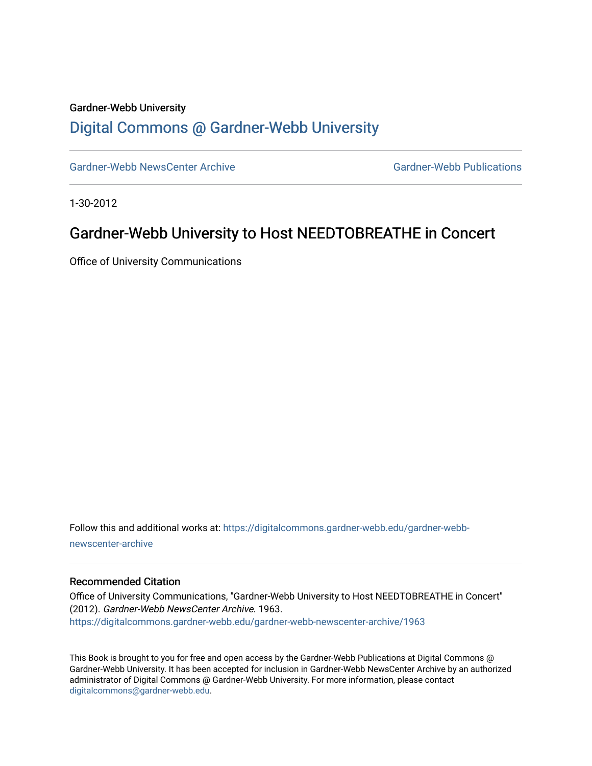#### Gardner-Webb University

### [Digital Commons @ Gardner-Webb University](https://digitalcommons.gardner-webb.edu/)

[Gardner-Webb NewsCenter Archive](https://digitalcommons.gardner-webb.edu/gardner-webb-newscenter-archive) Gardner-Webb Publications

1-30-2012

## Gardner-Webb University to Host NEEDTOBREATHE in Concert

Office of University Communications

Follow this and additional works at: [https://digitalcommons.gardner-webb.edu/gardner-webb](https://digitalcommons.gardner-webb.edu/gardner-webb-newscenter-archive?utm_source=digitalcommons.gardner-webb.edu%2Fgardner-webb-newscenter-archive%2F1963&utm_medium=PDF&utm_campaign=PDFCoverPages)[newscenter-archive](https://digitalcommons.gardner-webb.edu/gardner-webb-newscenter-archive?utm_source=digitalcommons.gardner-webb.edu%2Fgardner-webb-newscenter-archive%2F1963&utm_medium=PDF&utm_campaign=PDFCoverPages)

### Recommended Citation

Office of University Communications, "Gardner-Webb University to Host NEEDTOBREATHE in Concert" (2012). Gardner-Webb NewsCenter Archive. 1963. [https://digitalcommons.gardner-webb.edu/gardner-webb-newscenter-archive/1963](https://digitalcommons.gardner-webb.edu/gardner-webb-newscenter-archive/1963?utm_source=digitalcommons.gardner-webb.edu%2Fgardner-webb-newscenter-archive%2F1963&utm_medium=PDF&utm_campaign=PDFCoverPages) 

This Book is brought to you for free and open access by the Gardner-Webb Publications at Digital Commons @ Gardner-Webb University. It has been accepted for inclusion in Gardner-Webb NewsCenter Archive by an authorized administrator of Digital Commons @ Gardner-Webb University. For more information, please contact [digitalcommons@gardner-webb.edu](mailto:digitalcommons@gardner-webb.edu).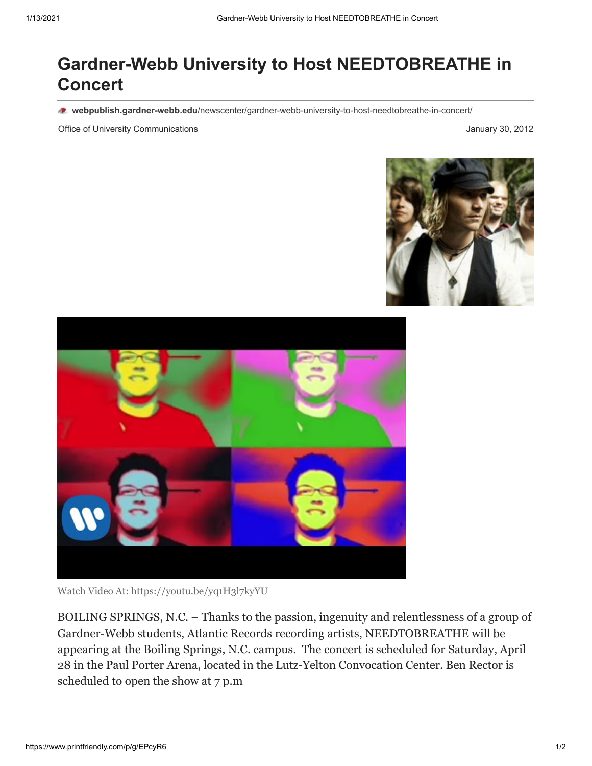# **Gardner-Webb University to Host NEEDTOBREATHE in Concert**

**webpublish.gardner-webb.edu**[/newscenter/gardner-webb-university-to-host-needtobreathe-in-concert/](https://webpublish.gardner-webb.edu/newscenter/gardner-webb-university-to-host-needtobreathe-in-concert/)

Office of University Communications January 30, 2012





Watch Video [At: https://youtu.be/yq1H3l7kyYU](https://youtu.be/yq1H3l7kyYU)

BOILING SPRINGS, N.C. – Thanks to the passion, ingenuity and relentlessness of a group of Gardner-Webb students, Atlantic Records recording artists, NEEDTOBREATHE will be appearing at the Boiling Springs, N.C. campus. The concert is scheduled for Saturday, April 28 in the Paul Porter Arena, located in the Lutz-Yelton Convocation Center. Ben Rector is scheduled to open the show at 7 p.m